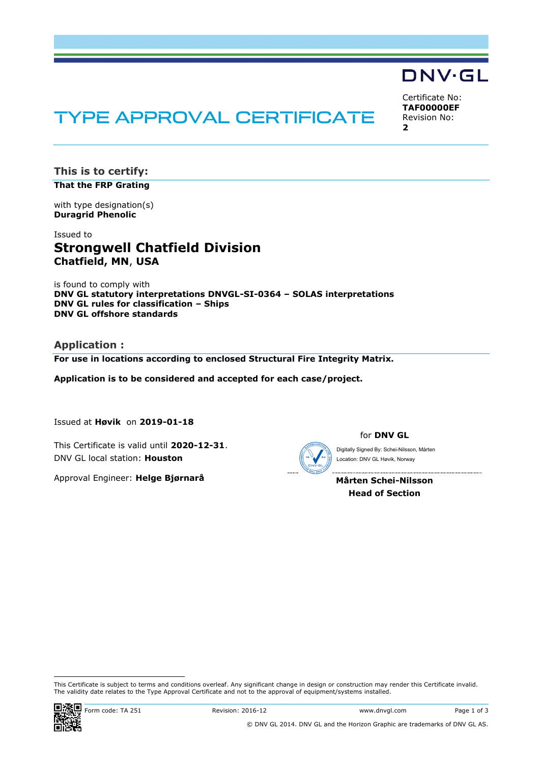# **DNV·GL**

Certificate No: **TAF00000EF** Revision No: **2**

## **TYPE APPROVAL CERTIFICATE**

**This is to certify: That the FRP Grating**

with type designation(s) **Duragrid Phenolic**

Issued to **Strongwell Chatfield Division Chatfield, MN**, **USA**

is found to comply with **DNV GL statutory interpretations DNVGL-SI-0364 – SOLAS interpretations DNV GL rules for classification – Ships DNV GL offshore standards**

**Application :**

**For use in locations according to enclosed Structural Fire Integrity Matrix.**

**Application is to be considered and accepted for each case/project.**

Issued at **Høvik** on **2019-01-18**

This Certificate is valid until **2020-12-31**. DNV GL local station: **Houston**

Approval Engineer: **Helge Bjørnarå**

for **DNV GL**

Location: DNV GL Høvik, Norway

**Mårten Schei-Nilsson Head of Section**

i<br>I

This Certificate is subject to terms and conditions overleaf. Any significant change in design or construction may render this Certificate invalid.<br>The validity date relates to the Type Approval Certificate and not to the This Certificate is subject to terms and conditions overleaf. Any significant change in design or construction may render this Certificate is subject to terms and conditions overleaf. Any significant change in design or co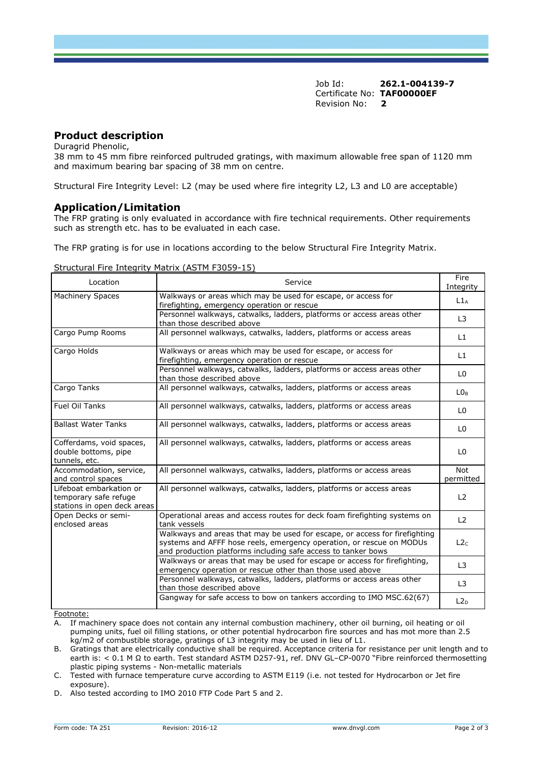Job Id: **262.1-004139-7** Certificate No: **TAF00000EF** Revision No: **2**

## **Product description**

Duragrid Phenolic,

38 mm to 45 mm fibre reinforced pultruded gratings, with maximum allowable free span of 1120 mm and maximum bearing bar spacing of 38 mm on centre.

Structural Fire Integrity Level: L2 (may be used where fire integrity L2, L3 and L0 are acceptable)

## **Application/Limitation**

The FRP grating is only evaluated in accordance with fire technical requirements. Other requirements such as strength etc. has to be evaluated in each case.

The FRP grating is for use in locations according to the below Structural Fire Integrity Matrix.

#### Structural Fire Integrity Matrix (ASTM F3059-15)

| Location                                                                        | Service                                                                                                                                                                                                             |                         |  |
|---------------------------------------------------------------------------------|---------------------------------------------------------------------------------------------------------------------------------------------------------------------------------------------------------------------|-------------------------|--|
| <b>Machinery Spaces</b>                                                         | Walkways or areas which may be used for escape, or access for<br>firefighting, emergency operation or rescue                                                                                                        |                         |  |
|                                                                                 | Personnel walkways, catwalks, ladders, platforms or access areas other<br>than those described above                                                                                                                | L <sub>3</sub>          |  |
| Cargo Pump Rooms                                                                | All personnel walkways, catwalks, ladders, platforms or access areas                                                                                                                                                | L1                      |  |
| Cargo Holds                                                                     | Walkways or areas which may be used for escape, or access for<br>firefighting, emergency operation or rescue                                                                                                        | L1                      |  |
|                                                                                 | Personnel walkways, catwalks, ladders, platforms or access areas other<br>than those described above                                                                                                                | L <sub>0</sub>          |  |
| Cargo Tanks                                                                     | All personnel walkways, catwalks, ladders, platforms or access areas                                                                                                                                                | LO <sub>B</sub>         |  |
| <b>Fuel Oil Tanks</b>                                                           | All personnel walkways, catwalks, ladders, platforms or access areas                                                                                                                                                | L <sub>0</sub>          |  |
| <b>Ballast Water Tanks</b>                                                      | All personnel walkways, catwalks, ladders, platforms or access areas                                                                                                                                                | L <sub>0</sub>          |  |
| Cofferdams, void spaces,<br>double bottoms, pipe<br>tunnels, etc.               | All personnel walkways, catwalks, ladders, platforms or access areas                                                                                                                                                | L <sub>0</sub>          |  |
| Accommodation, service,<br>and control spaces                                   | All personnel walkways, catwalks, ladders, platforms or access areas                                                                                                                                                | <b>Not</b><br>permitted |  |
| Lifeboat embarkation or<br>temporary safe refuge<br>stations in open deck areas | All personnel walkways, catwalks, ladders, platforms or access areas                                                                                                                                                | L <sub>2</sub>          |  |
| Open Decks or semi-<br>enclosed areas                                           | Operational areas and access routes for deck foam firefighting systems on<br>tank vessels                                                                                                                           | L2                      |  |
|                                                                                 | Walkways and areas that may be used for escape, or access for firefighting<br>systems and AFFF hose reels, emergency operation, or rescue on MODUs<br>and production platforms including safe access to tanker bows | L2c                     |  |
|                                                                                 | Walkways or areas that may be used for escape or access for firefighting,<br>emergency operation or rescue other than those used above                                                                              | L <sub>3</sub>          |  |
|                                                                                 | Personnel walkways, catwalks, ladders, platforms or access areas other<br>than those described above                                                                                                                | L3                      |  |
|                                                                                 | Gangway for safe access to bow on tankers according to IMO MSC.62(67)                                                                                                                                               | L2 <sub>D</sub>         |  |

Footnote:

A. If machinery space does not contain any internal combustion machinery, other oil burning, oil heating or oil pumping units, fuel oil filling stations, or other potential hydrocarbon fire sources and has mot more than 2.5 kg/m2 of combustible storage, gratings of L3 integrity may be used in lieu of L1.

B. Gratings that are electrically conductive shall be required. Acceptance criteria for resistance per unit length and to earth is: < 0.1 M Ω to earth. Test standard ASTM D257-91, ref. DNV GL–CP-0070 "Fibre reinforced thermosetting plastic piping systems - Non-metallic materials

C. Tested with furnace temperature curve according to ASTM E119 (i.e. not tested for Hydrocarbon or Jet fire exposure).

D. Also tested according to IMO 2010 FTP Code Part 5 and 2.